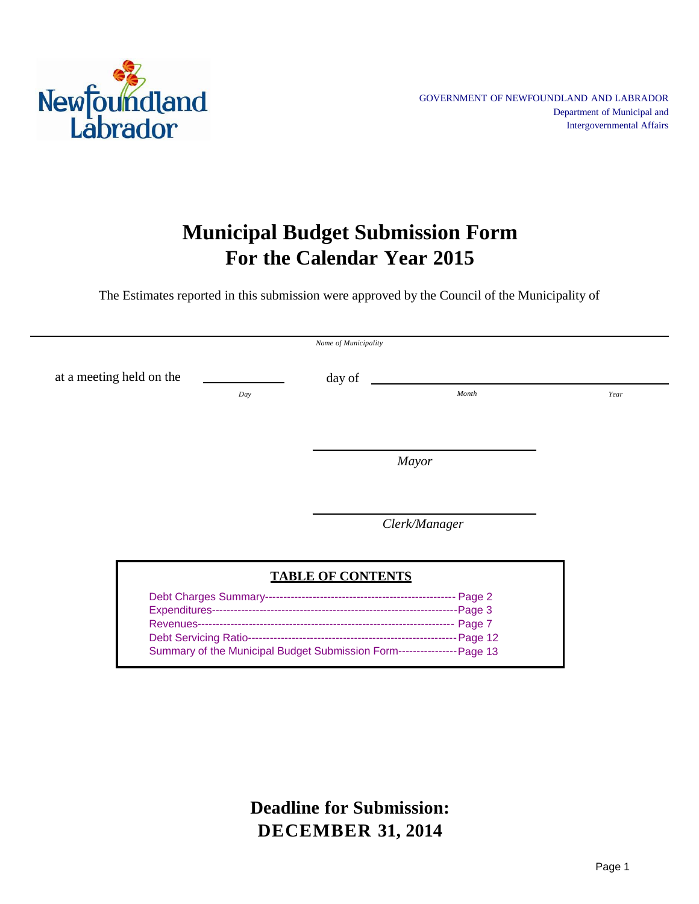

## **Municipal Budget Submission Form For the Calendar Year 2015**

The Estimates reported in this submission were approved by the Council of the Municipality of

|                          | Name of Municipality     |               |      |
|--------------------------|--------------------------|---------------|------|
| at a meeting held on the | day of                   |               |      |
| Day                      |                          | Month         | Year |
|                          |                          |               |      |
|                          |                          |               |      |
|                          |                          | <b>Mayor</b>  |      |
|                          |                          |               |      |
|                          |                          | Clerk/Manager |      |
|                          | <b>TABLE OF CONTENTS</b> |               |      |
|                          |                          |               |      |
|                          |                          |               |      |

Debt Servicing Ratio---------------------------------------------------------Page 12 Summary of the Municipal Budget Submission Form----------------Page 13

> **Deadline for Submission: DECEMBER 31, 2014**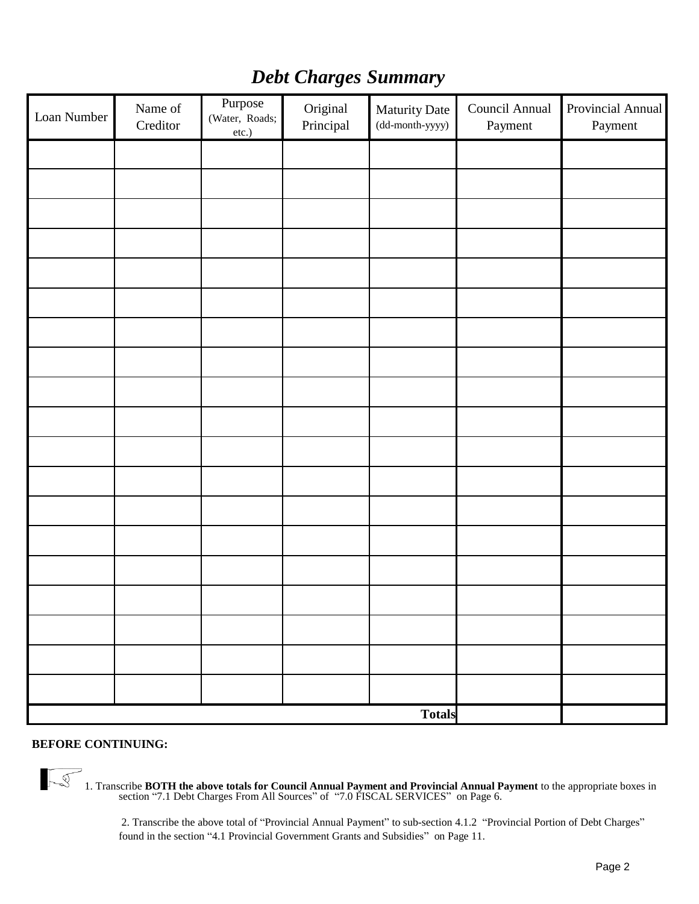|  |  | <b>Debt Charges Summary</b> |
|--|--|-----------------------------|
|--|--|-----------------------------|

| Loan Number | Name of<br>Creditor | Purpose<br>(Water, Roads;<br>etc.) | Original<br>Principal | Maturity Date<br>$(dd{\text{-}month\text{-}yyyy})$ | Council Annual<br>Payment | Provincial Annual<br>Payment |
|-------------|---------------------|------------------------------------|-----------------------|----------------------------------------------------|---------------------------|------------------------------|
|             |                     |                                    |                       |                                                    |                           |                              |
|             |                     |                                    |                       |                                                    |                           |                              |
|             |                     |                                    |                       |                                                    |                           |                              |
|             |                     |                                    |                       |                                                    |                           |                              |
|             |                     |                                    |                       |                                                    |                           |                              |
|             |                     |                                    |                       |                                                    |                           |                              |
|             |                     |                                    |                       |                                                    |                           |                              |
|             |                     |                                    |                       |                                                    |                           |                              |
|             |                     |                                    |                       |                                                    |                           |                              |
|             |                     |                                    |                       |                                                    |                           |                              |
|             |                     |                                    |                       |                                                    |                           |                              |
|             |                     |                                    |                       |                                                    |                           |                              |
|             |                     |                                    |                       |                                                    |                           |                              |
|             |                     |                                    |                       |                                                    |                           |                              |
|             |                     |                                    |                       |                                                    |                           |                              |
|             |                     |                                    |                       |                                                    |                           |                              |
|             |                     |                                    |                       |                                                    |                           |                              |
|             |                     |                                    |                       |                                                    |                           |                              |
|             |                     |                                    |                       |                                                    |                           |                              |
|             |                     |                                    |                       | <b>Totals</b>                                      |                           |                              |

#### **BEFORE CONTINUING:**

1. Transcribe **BOTH the above totals for Council Annual Payment and Provincial Annual Payment** to the appropriate boxes in section "7.1 Debt Charges From All Sources" of "7.0 FISCAL SERVICES" on Page 6.

2. Transcribe the above total of "Provincial Annual Payment" to sub-section 4.1.2 "Provincial Portion of Debt Charges" found in the section "4.1 Provincial Government Grants and Subsidies" on Page 11.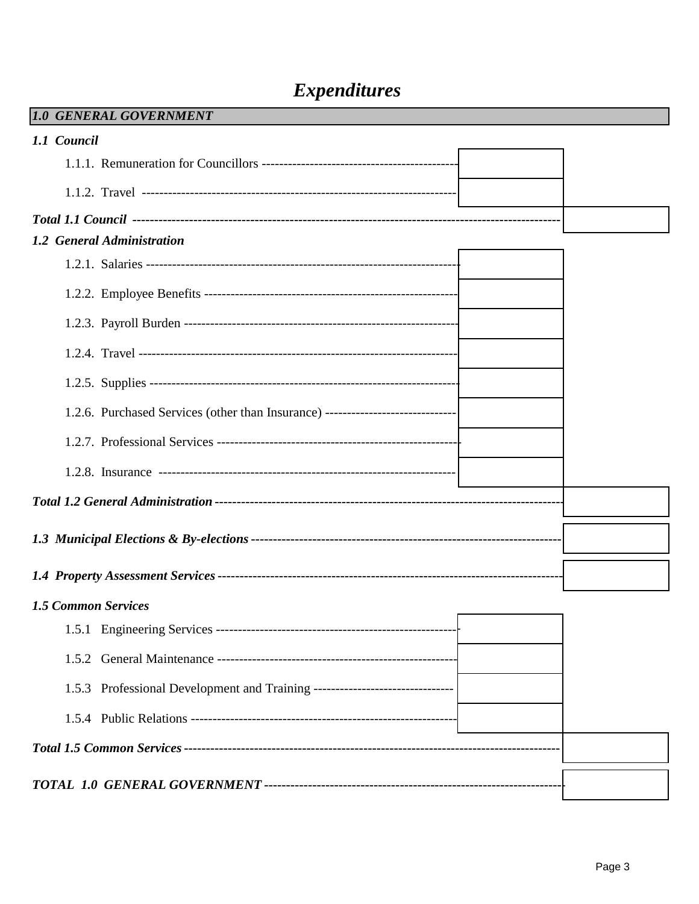## **Expenditures**

| 1.0 GENERAL GOVERNMENT                                                           |  |
|----------------------------------------------------------------------------------|--|
| 1.1 Council                                                                      |  |
|                                                                                  |  |
|                                                                                  |  |
|                                                                                  |  |
| 1.2 General Administration                                                       |  |
|                                                                                  |  |
|                                                                                  |  |
|                                                                                  |  |
|                                                                                  |  |
|                                                                                  |  |
| 1.2.6. Purchased Services (other than Insurance) ------------------------------- |  |
|                                                                                  |  |
|                                                                                  |  |
|                                                                                  |  |
|                                                                                  |  |
|                                                                                  |  |
| <b>1.5 Common Services</b>                                                       |  |
|                                                                                  |  |
| 1.5.2                                                                            |  |
| 1.5.3 Professional Development and Training --------------------------------     |  |
|                                                                                  |  |
|                                                                                  |  |
|                                                                                  |  |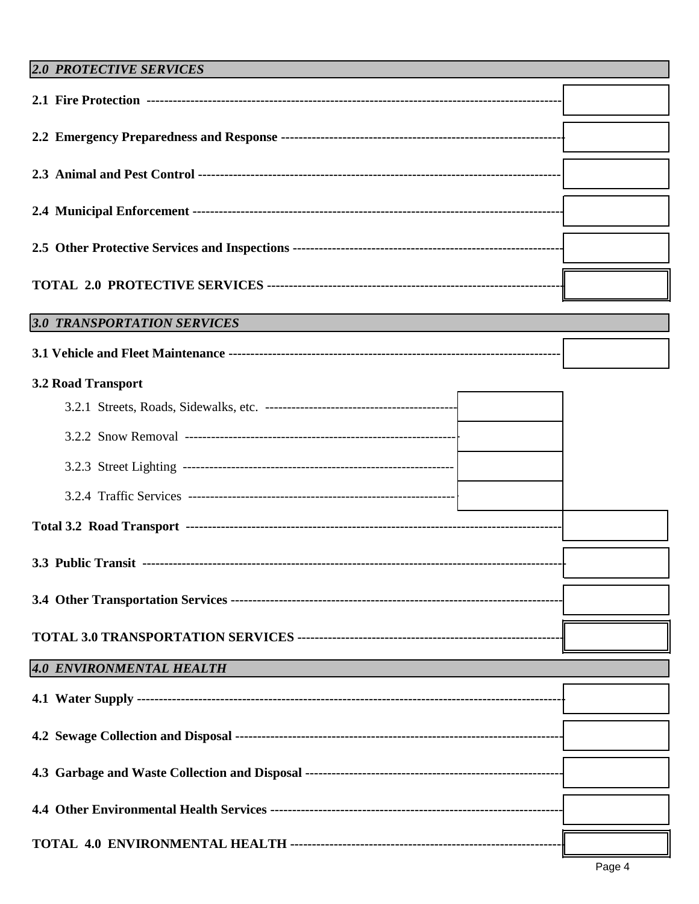#### **2.0 PROTECTIVE SERVICES**

| 3.0 TRANSPORTATION SERVICES |  |  |
|-----------------------------|--|--|
|                             |  |  |
| <b>3.2 Road Transport</b>   |  |  |
|                             |  |  |
|                             |  |  |
|                             |  |  |
|                             |  |  |
|                             |  |  |
|                             |  |  |
|                             |  |  |
|                             |  |  |
| 4.0 ENVIRONMENTAL HEALTH    |  |  |
|                             |  |  |
|                             |  |  |
|                             |  |  |
|                             |  |  |
|                             |  |  |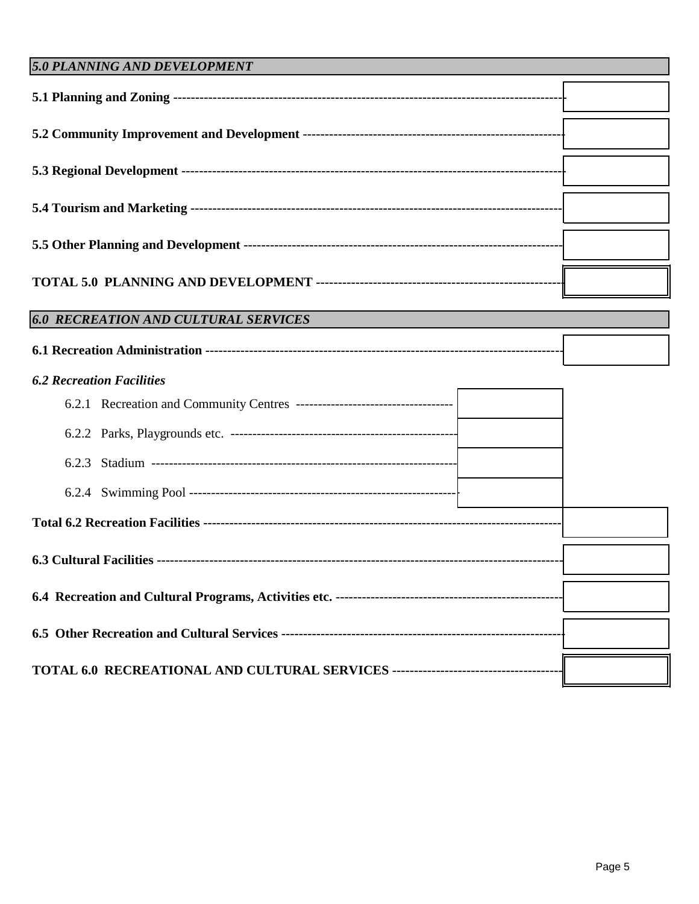| 5.0 PLANNING AND DEVELOPMENT                |  |
|---------------------------------------------|--|
|                                             |  |
|                                             |  |
|                                             |  |
|                                             |  |
|                                             |  |
|                                             |  |
| <b>6.0 RECREATION AND CULTURAL SERVICES</b> |  |
|                                             |  |
| <b>6.2 Recreation Facilities</b>            |  |
|                                             |  |
|                                             |  |
| 6.2.3                                       |  |
|                                             |  |
|                                             |  |
|                                             |  |
|                                             |  |
|                                             |  |
|                                             |  |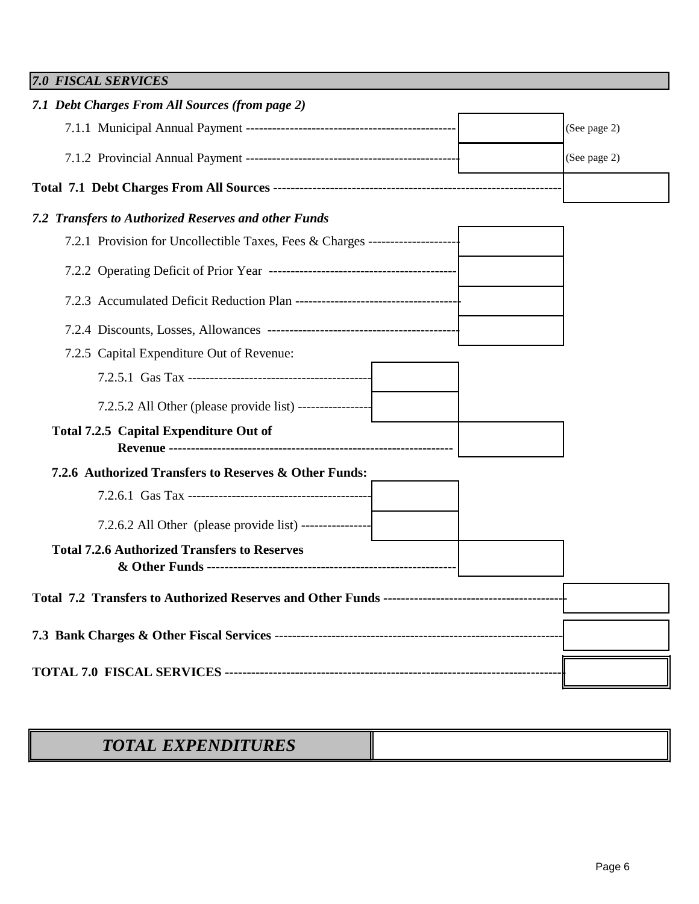| <b>7.0 FISCAL SERVICES</b>                                                      |              |
|---------------------------------------------------------------------------------|--------------|
| 7.1 Debt Charges From All Sources (from page 2)                                 |              |
|                                                                                 | (See page 2) |
|                                                                                 | (See page 2) |
|                                                                                 |              |
| 7.2 Transfers to Authorized Reserves and other Funds                            |              |
| 7.2.1 Provision for Uncollectible Taxes, Fees & Charges ----------------------- |              |
|                                                                                 |              |
|                                                                                 |              |
|                                                                                 |              |
| 7.2.5 Capital Expenditure Out of Revenue:                                       |              |
|                                                                                 |              |
| 7.2.5.2 All Other (please provide list) -----------------                       |              |
| Total 7.2.5 Capital Expenditure Out of                                          |              |
| 7.2.6 Authorized Transfers to Reserves & Other Funds:                           |              |
|                                                                                 |              |
| 7.2.6.2 All Other (please provide list) -----------------                       |              |
| <b>Total 7.2.6 Authorized Transfers to Reserves</b>                             |              |
|                                                                                 |              |
|                                                                                 |              |
|                                                                                 |              |

## *TOTAL EXPENDITURES*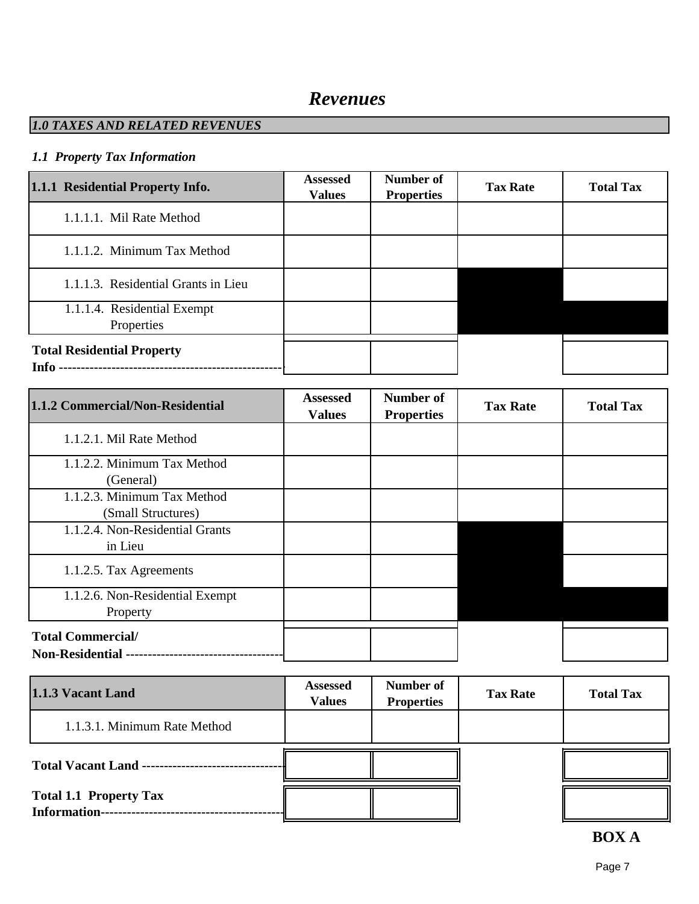### *Revenues*

#### *1.0 TAXES AND RELATED REVENUES*

#### *1.1 Property Tax Information*

| 1.1.1 Residential Property Info.              | <b>Assessed</b><br><b>Values</b> | Number of<br><b>Properties</b> | <b>Tax Rate</b> | <b>Total Tax</b> |
|-----------------------------------------------|----------------------------------|--------------------------------|-----------------|------------------|
| 1.1.1.1. Mil Rate Method                      |                                  |                                |                 |                  |
| 1.1.1.2. Minimum Tax Method                   |                                  |                                |                 |                  |
| 1.1.1.3. Residential Grants in Lieu           |                                  |                                |                 |                  |
| 1.1.1.4. Residential Exempt<br>Properties     |                                  |                                |                 |                  |
| <b>Total Residential Property</b><br>Info $-$ |                                  |                                |                 |                  |

| 1.1.2 Commercial/Non-Residential                      | <b>Assessed</b><br><b>Values</b> | Number of<br><b>Properties</b> | <b>Tax Rate</b> | <b>Total Tax</b> |
|-------------------------------------------------------|----------------------------------|--------------------------------|-----------------|------------------|
| 1.1.2.1. Mil Rate Method                              |                                  |                                |                 |                  |
| 1.1.2.2. Minimum Tax Method<br>(General)              |                                  |                                |                 |                  |
| 1.1.2.3. Minimum Tax Method<br>(Small Structures)     |                                  |                                |                 |                  |
| 1.1.2.4. Non-Residential Grants<br>in Lieu            |                                  |                                |                 |                  |
| 1.1.2.5. Tax Agreements                               |                                  |                                |                 |                  |
| 1.1.2.6. Non-Residential Exempt<br>Property           |                                  |                                |                 |                  |
| <b>Total Commercial/</b><br><b>Non-Residential --</b> |                                  |                                |                 |                  |

| 1.1.3 Vacant Land                                    | <b>Assessed</b><br><b>Values</b> | Number of<br><b>Properties</b> | <b>Tax Rate</b> | <b>Total Tax</b> |
|------------------------------------------------------|----------------------------------|--------------------------------|-----------------|------------------|
| 1.1.3.1. Minimum Rate Method                         |                                  |                                |                 |                  |
| <b>Total Vacant Land --</b>                          |                                  |                                |                 |                  |
| <b>Total 1.1 Property Tax</b><br><b>Information-</b> |                                  |                                |                 |                  |

#### **BOX A**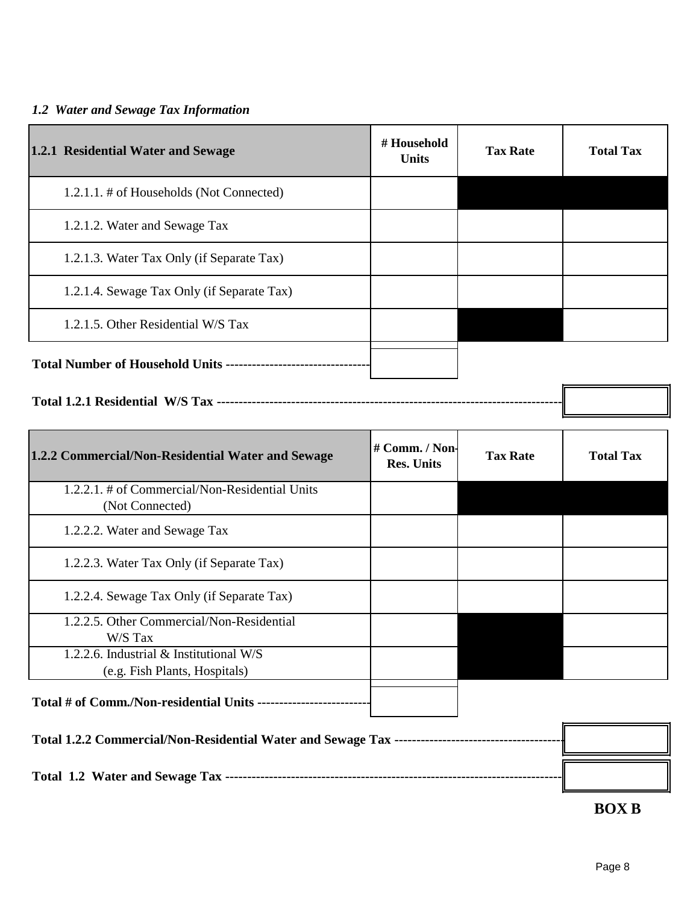#### *1.2 Water and Sewage Tax Information*

| 1.2.1 Residential Water and Sewage                              | # Household<br><b>Units</b>         | <b>Tax Rate</b> | <b>Total Tax</b> |
|-----------------------------------------------------------------|-------------------------------------|-----------------|------------------|
| 1.2.1.1. # of Households (Not Connected)                        |                                     |                 |                  |
| 1.2.1.2. Water and Sewage Tax                                   |                                     |                 |                  |
| 1.2.1.3. Water Tax Only (if Separate Tax)                       |                                     |                 |                  |
| 1.2.1.4. Sewage Tax Only (if Separate Tax)                      |                                     |                 |                  |
| 1.2.1.5. Other Residential W/S Tax                              |                                     |                 |                  |
| Total Number of Household Units ------------------------------- |                                     |                 |                  |
|                                                                 |                                     |                 |                  |
| 1.2.2 Commercial/Non-Residential Water and Sewage               | # Comm. / Non-<br><b>Res. Units</b> | <b>Tax Rate</b> | <b>Total Tax</b> |

| 1.2.2.1. # of Commercial/Non-Residential Units<br>(Not Connected) |  |  |
|-------------------------------------------------------------------|--|--|
| 1.2.2.2. Water and Sewage Tax                                     |  |  |
| 1.2.2.3. Water Tax Only (if Separate Tax)                         |  |  |
| 1.2.2.4. Sewage Tax Only (if Separate Tax)                        |  |  |
| 1.2.2.5. Other Commercial/Non-Residential                         |  |  |
| W/S Tax                                                           |  |  |
| 1.2.2.6. Industrial $&$ Institutional W/S                         |  |  |
| (e.g. Fish Plants, Hospitals)                                     |  |  |
| Total # of Comm./Non-residential Units -                          |  |  |

| Total 1.2.2 Commercial/Non-Residential Water and Sewage Tax ------------------------ |  |
|--------------------------------------------------------------------------------------|--|
|                                                                                      |  |

**BOX B**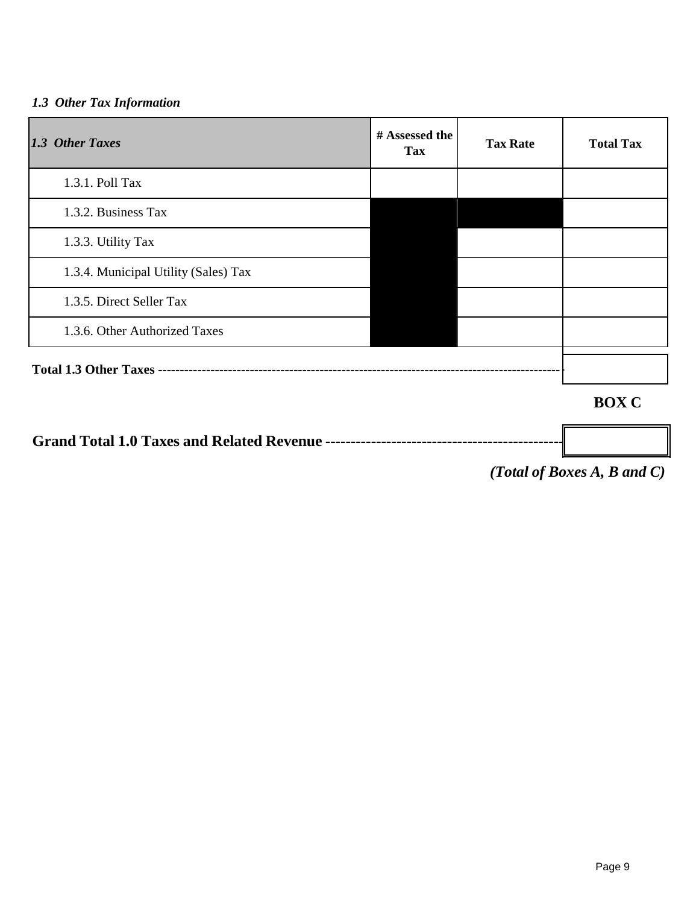#### *1.3 Other Tax Information*

| 1.3 Other Taxes                      | # Assessed the<br>Tax | <b>Tax Rate</b> | <b>Total Tax</b> |
|--------------------------------------|-----------------------|-----------------|------------------|
| 1.3.1. Poll Tax                      |                       |                 |                  |
| 1.3.2. Business Tax                  |                       |                 |                  |
| 1.3.3. Utility Tax                   |                       |                 |                  |
| 1.3.4. Municipal Utility (Sales) Tax |                       |                 |                  |
| 1.3.5. Direct Seller Tax             |                       |                 |                  |
| 1.3.6. Other Authorized Taxes        |                       |                 |                  |
|                                      |                       |                 |                  |
|                                      |                       |                 | <b>BOX C</b>     |

**Grand Total 1.0 Taxes and Related Revenue -----------------------------------------------**

*(Total of Boxes A, B and C)*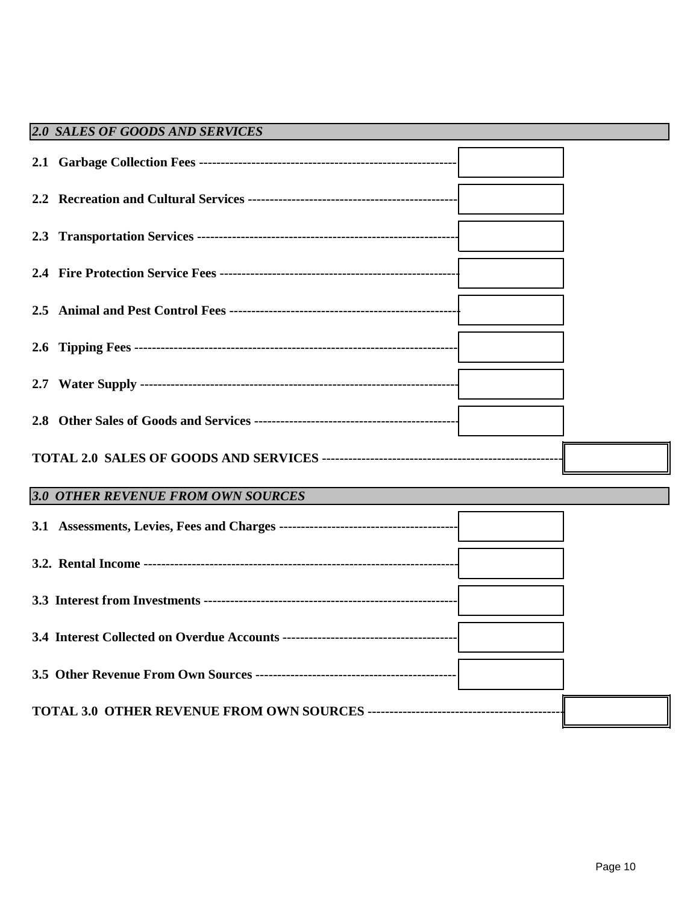| <b>2.0 SALES OF GOODS AND SERVICES</b> |  |
|----------------------------------------|--|
|                                        |  |
|                                        |  |
|                                        |  |
|                                        |  |
|                                        |  |
|                                        |  |
|                                        |  |
|                                        |  |
|                                        |  |
| 3.0 OTHER REVENUE FROM OWN SOURCES     |  |
|                                        |  |
|                                        |  |
|                                        |  |
|                                        |  |
|                                        |  |
|                                        |  |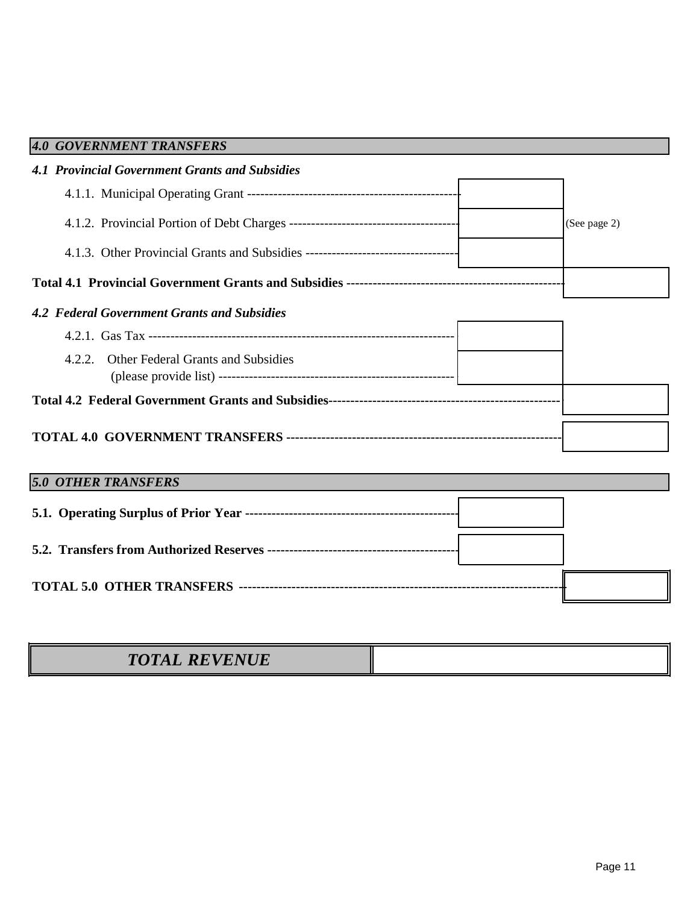| 4.0 GOVERNMENT TRANSFERS                              |              |
|-------------------------------------------------------|--------------|
| <b>4.1 Provincial Government Grants and Subsidies</b> |              |
|                                                       |              |
|                                                       | (See page 2) |
|                                                       |              |
|                                                       |              |
| <b>4.2 Federal Government Grants and Subsidies</b>    |              |
|                                                       |              |
| <b>Other Federal Grants and Subsidies</b><br>4.2.2.   |              |
|                                                       |              |
|                                                       |              |
| <b>5.0 OTHER TRANSFERS</b>                            |              |
|                                                       |              |
|                                                       |              |
|                                                       |              |
|                                                       |              |

| REVENUE<br><b>TOTAL REVENUE</b> |  |
|---------------------------------|--|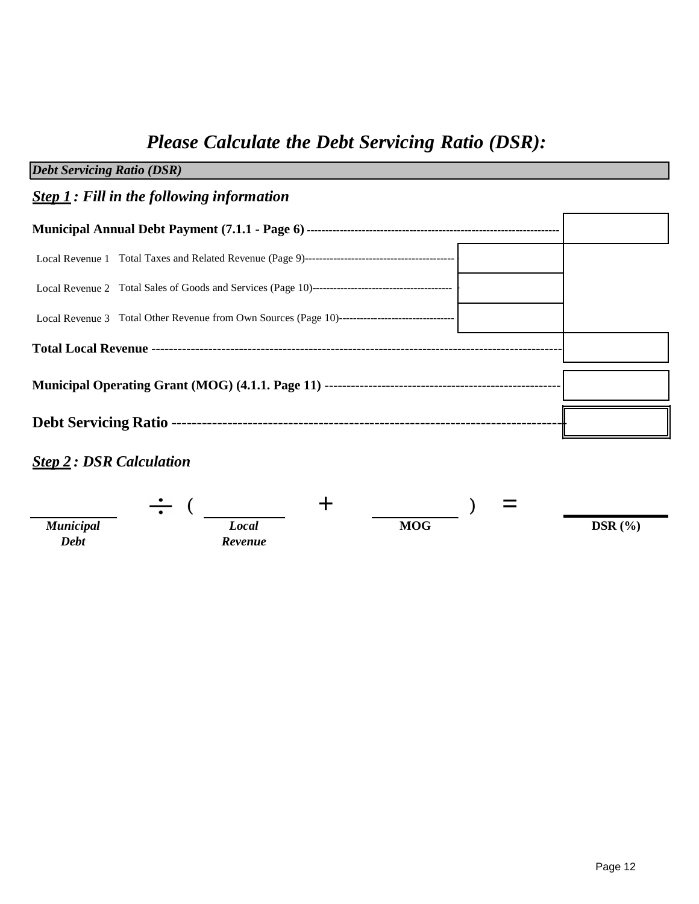# *Please Calculate the Debt Servicing Ratio (DSR):*

| <b>Debt Servicing Ratio (DSR)</b>                 |  |  |
|---------------------------------------------------|--|--|
| <b>Step 1</b> : Fill in the following information |  |  |
|                                                   |  |  |
|                                                   |  |  |
|                                                   |  |  |
|                                                   |  |  |
|                                                   |  |  |
|                                                   |  |  |
|                                                   |  |  |
|                                                   |  |  |

### *Step 2 : DSR Calculation*

|                                 | $\bullet$<br>$\bullet$ |            | $\overline{\phantom{a}}$<br>$\sim$ |          |
|---------------------------------|------------------------|------------|------------------------------------|----------|
| <b>Municipal</b><br><b>Debt</b> | Local<br>Revenue       | <b>MOG</b> |                                    | DSR $(%$ |